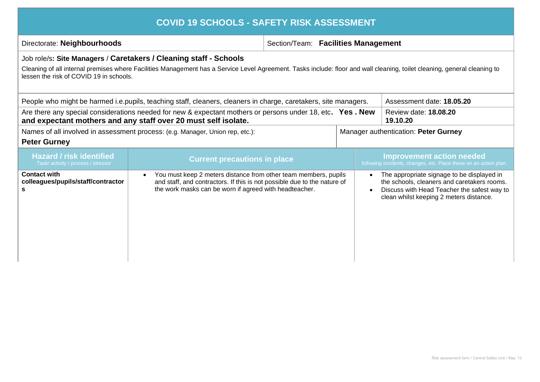| Directorate: Neighbourhoods                                            |                                                                                                                                                                                                                    | Section/Team: Facilities Management |                        |                                                                                                                                                                                     |
|------------------------------------------------------------------------|--------------------------------------------------------------------------------------------------------------------------------------------------------------------------------------------------------------------|-------------------------------------|------------------------|-------------------------------------------------------------------------------------------------------------------------------------------------------------------------------------|
|                                                                        | Job role/s: Site Managers / Caretakers / Cleaning staff - Schools                                                                                                                                                  |                                     |                        |                                                                                                                                                                                     |
| lessen the risk of COVID 19 in schools.                                | Cleaning of all internal premises where Facilities Management has a Service Level Agreement. Tasks include: floor and wall cleaning, toilet cleaning, general cleaning to                                          |                                     |                        |                                                                                                                                                                                     |
|                                                                        | People who might be harmed i.e. pupils, teaching staff, cleaners, cleaners in charge, caretakers, site managers.                                                                                                   |                                     |                        | Assessment date: 18.05.20                                                                                                                                                           |
|                                                                        | Are there any special considerations needed for new & expectant mothers or persons under 18, etc. Yes. New<br>and expectant mothers and any staff over 20 must self isolate.                                       |                                     |                        | Review date: 18.08.20<br>19.10.20                                                                                                                                                   |
|                                                                        | Names of all involved in assessment process: (e.g. Manager, Union rep, etc.):                                                                                                                                      |                                     |                        | Manager authentication: Peter Gurney                                                                                                                                                |
| <b>Peter Gurney</b>                                                    |                                                                                                                                                                                                                    |                                     |                        |                                                                                                                                                                                     |
| <b>Hazard / risk identified</b><br>Task/ activity / process / stressor | <b>Current precautions in place</b>                                                                                                                                                                                |                                     |                        | <b>Improvement action needed</b><br>following incidents, changes, etc. Place these on an action plan.                                                                               |
| <b>Contact with</b><br>colleagues/pupils/staff/contractor<br>s         | You must keep 2 meters distance from other team members, pupils<br>$\bullet$<br>and staff, and contractors. If this is not possible due to the nature of<br>the work masks can be worn if agreed with headteacher. |                                     | $\bullet$<br>$\bullet$ | The appropriate signage to be displayed in<br>the schools, cleaners and caretakers rooms.<br>Discuss with Head Teacher the safest way to<br>clean whilst keeping 2 meters distance. |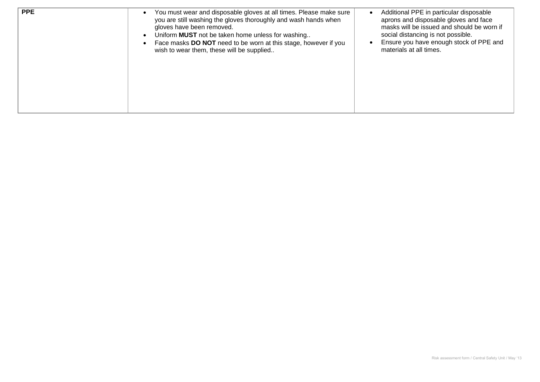| <b>PPE</b> | You must wear and disposable gloves at all times. Please make sure<br>you are still washing the gloves thoroughly and wash hands when<br>gloves have been removed.<br>Uniform <b>MUST</b> not be taken home unless for washing<br>Face masks DO NOT need to be worn at this stage, however if you<br>wish to wear them, these will be supplied | Additional PPE in particular disposable<br>aprons and disposable gloves and face<br>masks will be issued and should be worn if<br>social distancing is not possible.<br>Ensure you have enough stock of PPE and<br>materials at all times. |
|------------|------------------------------------------------------------------------------------------------------------------------------------------------------------------------------------------------------------------------------------------------------------------------------------------------------------------------------------------------|--------------------------------------------------------------------------------------------------------------------------------------------------------------------------------------------------------------------------------------------|
|------------|------------------------------------------------------------------------------------------------------------------------------------------------------------------------------------------------------------------------------------------------------------------------------------------------------------------------------------------------|--------------------------------------------------------------------------------------------------------------------------------------------------------------------------------------------------------------------------------------------|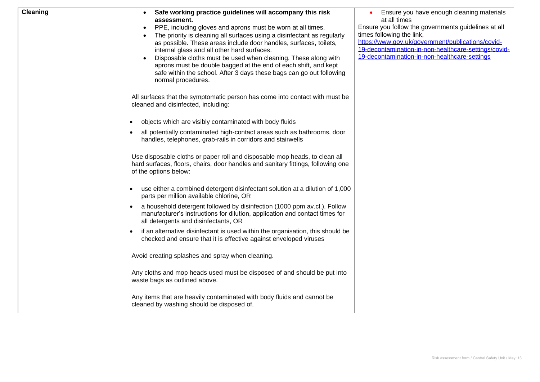| <b>Cleaning</b> | Safe working practice guidelines will accompany this risk<br>assessment.         | Ensure you have enough cleaning materials<br>at all times |
|-----------------|----------------------------------------------------------------------------------|-----------------------------------------------------------|
|                 | PPE, including gloves and aprons must be worn at all times.<br>$\bullet$         | Ensure you follow the governments guidelines at all       |
|                 | The priority is cleaning all surfaces using a disinfectant as regularly          | times following the link,                                 |
|                 | as possible. These areas include door handles, surfaces, toilets,                | https://www.gov.uk/government/publications/covid-         |
|                 | internal glass and all other hard surfaces.                                      | 19-decontamination-in-non-healthcare-settings/covid-      |
|                 | Disposable cloths must be used when cleaning. These along with                   | 19-decontamination-in-non-healthcare-settings             |
|                 | aprons must be double bagged at the end of each shift, and kept                  |                                                           |
|                 | safe within the school. After 3 days these bags can go out following             |                                                           |
|                 | normal procedures.                                                               |                                                           |
|                 |                                                                                  |                                                           |
|                 | All surfaces that the symptomatic person has come into contact with must be      |                                                           |
|                 | cleaned and disinfected, including:                                              |                                                           |
|                 |                                                                                  |                                                           |
|                 | objects which are visibly contaminated with body fluids<br>$\bullet$             |                                                           |
|                 | all potentially contaminated high-contact areas such as bathrooms, door          |                                                           |
|                 | handles, telephones, grab-rails in corridors and stairwells                      |                                                           |
|                 |                                                                                  |                                                           |
|                 | Use disposable cloths or paper roll and disposable mop heads, to clean all       |                                                           |
|                 | hard surfaces, floors, chairs, door handles and sanitary fittings, following one |                                                           |
|                 | of the options below:                                                            |                                                           |
|                 |                                                                                  |                                                           |
|                 | use either a combined detergent disinfectant solution at a dilution of 1,000     |                                                           |
|                 | parts per million available chlorine, OR                                         |                                                           |
|                 | a household detergent followed by disinfection (1000 ppm av.cl.). Follow         |                                                           |
|                 | manufacturer's instructions for dilution, application and contact times for      |                                                           |
|                 | all detergents and disinfectants, OR                                             |                                                           |
|                 | if an alternative disinfectant is used within the organisation, this should be   |                                                           |
|                 | checked and ensure that it is effective against enveloped viruses                |                                                           |
|                 |                                                                                  |                                                           |
|                 | Avoid creating splashes and spray when cleaning.                                 |                                                           |
|                 |                                                                                  |                                                           |
|                 | Any cloths and mop heads used must be disposed of and should be put into         |                                                           |
|                 | waste bags as outlined above.                                                    |                                                           |
|                 |                                                                                  |                                                           |
|                 | Any items that are heavily contaminated with body fluids and cannot be           |                                                           |
|                 | cleaned by washing should be disposed of.                                        |                                                           |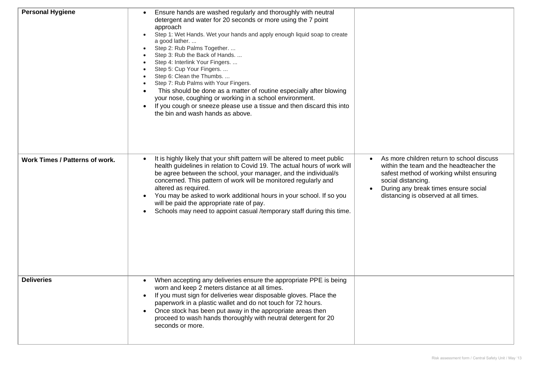| <b>Personal Hygiene</b>        | Ensure hands are washed regularly and thoroughly with neutral<br>detergent and water for 20 seconds or more using the 7 point<br>approach<br>Step 1: Wet Hands. Wet your hands and apply enough liquid soap to create<br>a good lather<br>Step 2: Rub Palms Together.<br>Step 3: Rub the Back of Hands.<br>Step 4: Interlink Your Fingers.<br>Step 5: Cup Your Fingers.<br>Step 6: Clean the Thumbs.<br>Step 7: Rub Palms with Your Fingers.<br>This should be done as a matter of routine especially after blowing<br>$\bullet$<br>your nose, coughing or working in a school environment.<br>If you cough or sneeze please use a tissue and then discard this into<br>the bin and wash hands as above. |                                                                                                                                                                                                                                        |
|--------------------------------|----------------------------------------------------------------------------------------------------------------------------------------------------------------------------------------------------------------------------------------------------------------------------------------------------------------------------------------------------------------------------------------------------------------------------------------------------------------------------------------------------------------------------------------------------------------------------------------------------------------------------------------------------------------------------------------------------------|----------------------------------------------------------------------------------------------------------------------------------------------------------------------------------------------------------------------------------------|
| Work Times / Patterns of work. | It is highly likely that your shift pattern will be altered to meet public<br>health guidelines in relation to Covid 19. The actual hours of work will<br>be agree between the school, your manager, and the individual/s<br>concerned. This pattern of work will be monitored regularly and<br>altered as required.<br>You may be asked to work additional hours in your school. If so you<br>$\bullet$<br>will be paid the appropriate rate of pay.<br>Schools may need to appoint casual /temporary staff during this time.<br>٠                                                                                                                                                                      | As more children return to school discuss<br>within the team and the headteacher the<br>safest method of working whilst ensuring<br>social distancing.<br>During any break times ensure social<br>distancing is observed at all times. |
| <b>Deliveries</b>              | When accepting any deliveries ensure the appropriate PPE is being<br>worn and keep 2 meters distance at all times.<br>If you must sign for deliveries wear disposable gloves. Place the<br>$\bullet$<br>paperwork in a plastic wallet and do not touch for 72 hours.<br>Once stock has been put away in the appropriate areas then<br>$\bullet$<br>proceed to wash hands thoroughly with neutral detergent for 20<br>seconds or more.                                                                                                                                                                                                                                                                    |                                                                                                                                                                                                                                        |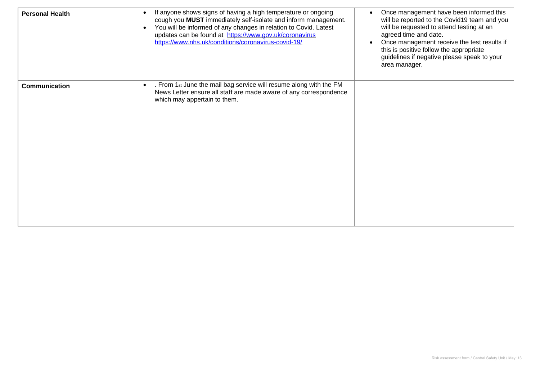| <b>Personal Health</b> | If anyone shows signs of having a high temperature or ongoing<br>cough you MUST immediately self-isolate and inform management.<br>You will be informed of any changes in relation to Covid. Latest<br>updates can be found at https://www.gov.uk/coronavirus<br>https://www.nhs.uk/conditions/coronavirus-covid-19/ | Once management have been informed this<br>will be reported to the Covid19 team and you<br>will be requested to attend testing at an<br>agreed time and date.<br>Once management receive the test results if<br>this is positive follow the appropriate<br>guidelines if negative please speak to your<br>area manager. |
|------------------------|----------------------------------------------------------------------------------------------------------------------------------------------------------------------------------------------------------------------------------------------------------------------------------------------------------------------|-------------------------------------------------------------------------------------------------------------------------------------------------------------------------------------------------------------------------------------------------------------------------------------------------------------------------|
| Communication          | . From 1st June the mail bag service will resume along with the FM<br>News Letter ensure all staff are made aware of any correspondence<br>which may appertain to them.                                                                                                                                              |                                                                                                                                                                                                                                                                                                                         |